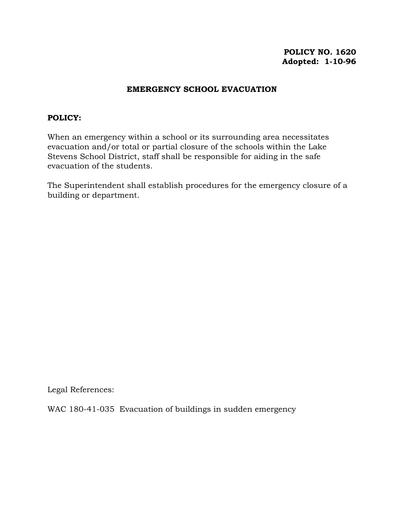# **POLICY NO. 1620 Adopted: 1-10-96**

### **EMERGENCY SCHOOL EVACUATION**

### **POLICY:**

When an emergency within a school or its surrounding area necessitates evacuation and/or total or partial closure of the schools within the Lake Stevens School District, staff shall be responsible for aiding in the safe evacuation of the students.

The Superintendent shall establish procedures for the emergency closure of a building or department.

Legal References:

WAC 180-41-035 Evacuation of buildings in sudden emergency